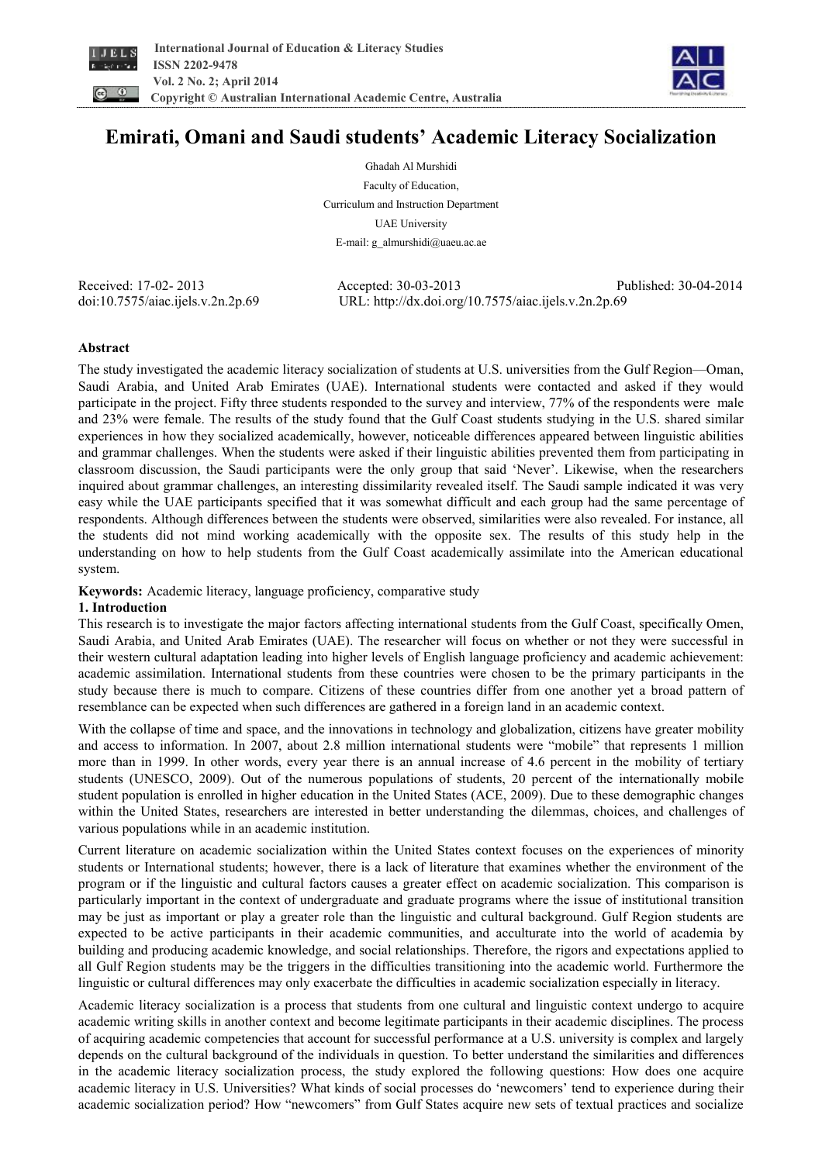



# **Emirati, Omani and Saudi students' Academic Literacy Socialization**

Ghadah Al Murshidi Faculty of Education, Curriculum and Instruction Department UAE University E-mail: g\_almurshidi@uaeu.ac.ae

Received: 17-02- 2013 Accepted: 30-03-2013 Published: 30-04-2014 doi:10.7575/aiac.ijels.v.2n.2p.69 URL: http://dx.doi.org/10.7575/aiac.ijels.v.2n.2p.69

## **Abstract**

The study investigated the academic literacy socialization of students at U.S. universities from the Gulf Region—Oman, Saudi Arabia, and United Arab Emirates (UAE). International students were contacted and asked if they would participate in the project. Fifty three students responded to the survey and interview, 77% of the respondents were male and 23% were female. The results of the study found that the Gulf Coast students studying in the U.S. shared similar experiences in how they socialized academically, however, noticeable differences appeared between linguistic abilities and grammar challenges. When the students were asked if their linguistic abilities prevented them from participating in classroom discussion, the Saudi participants were the only group that said 'Never'. Likewise, when the researchers inquired about grammar challenges, an interesting dissimilarity revealed itself. The Saudi sample indicated it was very easy while the UAE participants specified that it was somewhat difficult and each group had the same percentage of respondents. Although differences between the students were observed, similarities were also revealed. For instance, all the students did not mind working academically with the opposite sex. The results of this study help in the understanding on how to help students from the Gulf Coast academically assimilate into the American educational system.

**Keywords:** Academic literacy, language proficiency, comparative study

### **1. Introduction**

This research is to investigate the major factors affecting international students from the Gulf Coast, specifically Omen, Saudi Arabia, and United Arab Emirates (UAE). The researcher will focus on whether or not they were successful in their western cultural adaptation leading into higher levels of English language proficiency and academic achievement: academic assimilation. International students from these countries were chosen to be the primary participants in the study because there is much to compare. Citizens of these countries differ from one another yet a broad pattern of resemblance can be expected when such differences are gathered in a foreign land in an academic context.

With the collapse of time and space, and the innovations in technology and globalization, citizens have greater mobility and access to information. In 2007, about 2.8 million international students were "mobile" that represents 1 million more than in 1999. In other words, every year there is an annual increase of 4.6 percent in the mobility of tertiary students (UNESCO, 2009). Out of the numerous populations of students, 20 percent of the internationally mobile student population is enrolled in higher education in the United States (ACE, 2009). Due to these demographic changes within the United States, researchers are interested in better understanding the dilemmas, choices, and challenges of various populations while in an academic institution.

Current literature on academic socialization within the United States context focuses on the experiences of minority students or International students; however, there is a lack of literature that examines whether the environment of the program or if the linguistic and cultural factors causes a greater effect on academic socialization. This comparison is particularly important in the context of undergraduate and graduate programs where the issue of institutional transition may be just as important or play a greater role than the linguistic and cultural background. Gulf Region students are expected to be active participants in their academic communities, and acculturate into the world of academia by building and producing academic knowledge, and social relationships. Therefore, the rigors and expectations applied to all Gulf Region students may be the triggers in the difficulties transitioning into the academic world. Furthermore the linguistic or cultural differences may only exacerbate the difficulties in academic socialization especially in literacy.

Academic literacy socialization is a process that students from one cultural and linguistic context undergo to acquire academic writing skills in another context and become legitimate participants in their academic disciplines. The process of acquiring academic competencies that account for successful performance at a U.S. university is complex and largely depends on the cultural background of the individuals in question. To better understand the similarities and differences in the academic literacy socialization process, the study explored the following questions: How does one acquire academic literacy in U.S. Universities? What kinds of social processes do 'newcomers' tend to experience during their academic socialization period? How "newcomers" from Gulf States acquire new sets of textual practices and socialize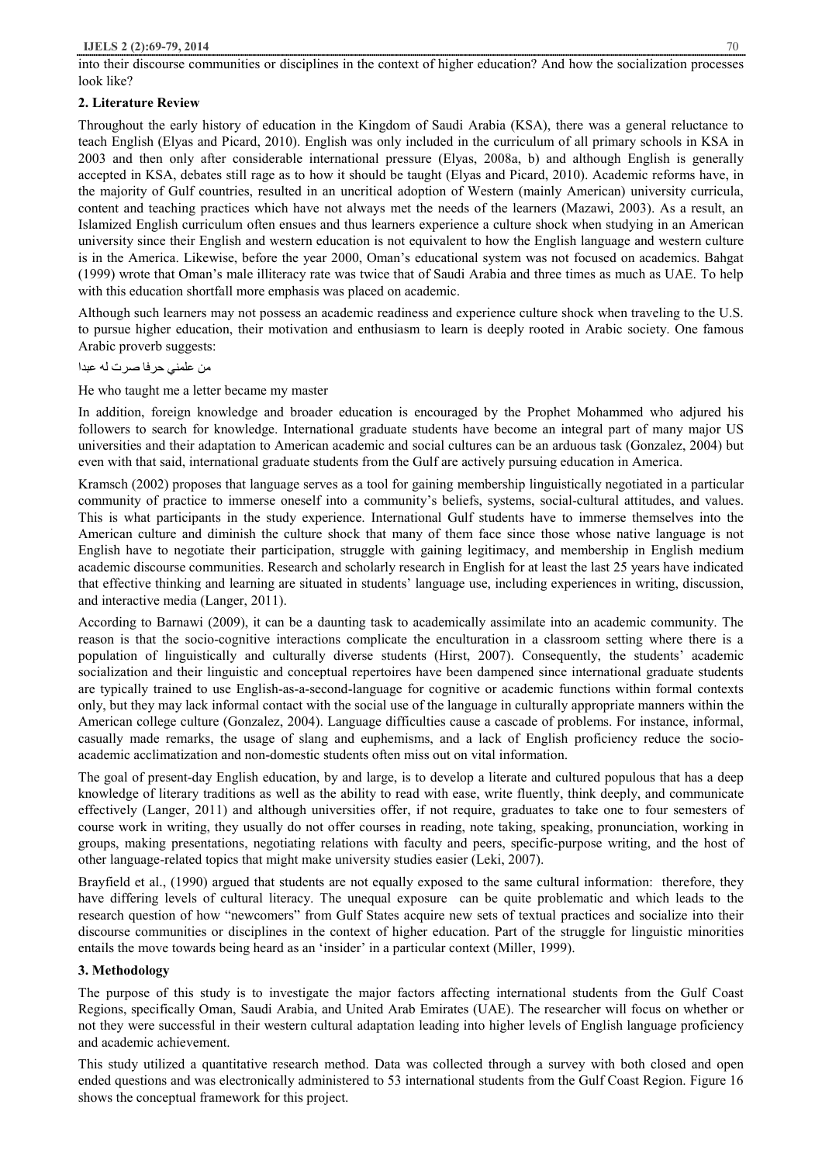# **2. Literature Review**

Throughout the early history of education in the Kingdom of Saudi Arabia (KSA), there was a general reluctance to teach English (Elyas and Picard, 2010). English was only included in the curriculum of all primary schools in KSA in 2003 and then only after considerable international pressure (Elyas, 2008a, b) and although English is generally accepted in KSA, debates still rage as to how it should be taught (Elyas and Picard, 2010). Academic reforms have, in the majority of Gulf countries, resulted in an uncritical adoption of Western (mainly American) university curricula, content and teaching practices which have not always met the needs of the learners (Mazawi, 2003). As a result, an Islamized English curriculum often ensues and thus learners experience a culture shock when studying in an American university since their English and western education is not equivalent to how the English language and western culture is in the America. Likewise, before the year 2000, Oman's educational system was not focused on academics. Bahgat (1999) wrote that Oman's male illiteracy rate was twice that of Saudi Arabia and three times as much as UAE. To help with this education shortfall more emphasis was placed on academic.

Although such learners may not possess an academic readiness and experience culture shock when traveling to the U.S. to pursue higher education, their motivation and enthusiasm to learn is deeply rooted in Arabic society. One famous Arabic proverb suggests:

من علمني حرفا صرت لھ عبدا

He who taught me a letter became my master

In addition, foreign knowledge and broader education is encouraged by the Prophet Mohammed who adjured his followers to search for knowledge. International graduate students have become an integral part of many major US universities and their adaptation to American academic and social cultures can be an arduous task (Gonzalez, 2004) but even with that said, international graduate students from the Gulf are actively pursuing education in America.

Kramsch (2002) proposes that language serves as a tool for gaining membership linguistically negotiated in a particular community of practice to immerse oneself into a community's beliefs, systems, social-cultural attitudes, and values. This is what participants in the study experience. International Gulf students have to immerse themselves into the American culture and diminish the culture shock that many of them face since those whose native language is not English have to negotiate their participation, struggle with gaining legitimacy, and membership in English medium academic discourse communities. Research and scholarly research in English for at least the last 25 years have indicated that effective thinking and learning are situated in students' language use, including experiences in writing, discussion, and interactive media (Langer, 2011).

According to Barnawi (2009), it can be a daunting task to academically assimilate into an academic community. The reason is that the socio-cognitive interactions complicate the enculturation in a classroom setting where there is a population of linguistically and culturally diverse students (Hirst, 2007). Consequently, the students' academic socialization and their linguistic and conceptual repertoires have been dampened since international graduate students are typically trained to use English-as-a-second-language for cognitive or academic functions within formal contexts only, but they may lack informal contact with the social use of the language in culturally appropriate manners within the American college culture (Gonzalez, 2004). Language difficulties cause a cascade of problems. For instance, informal, casually made remarks, the usage of slang and euphemisms, and a lack of English proficiency reduce the socioacademic acclimatization and non-domestic students often miss out on vital information.

The goal of present-day English education, by and large, is to develop a literate and cultured populous that has a deep knowledge of literary traditions as well as the ability to read with ease, write fluently, think deeply, and communicate effectively (Langer, 2011) and although universities offer, if not require, graduates to take one to four semesters of course work in writing, they usually do not offer courses in reading, note taking, speaking, pronunciation, working in groups, making presentations, negotiating relations with faculty and peers, specific-purpose writing, and the host of other language-related topics that might make university studies easier (Leki, 2007).

Brayfield et al., (1990) argued that students are not equally exposed to the same cultural information: therefore, they have differing levels of cultural literacy. The unequal exposure can be quite problematic and which leads to the research question of how "newcomers" from Gulf States acquire new sets of textual practices and socialize into their discourse communities or disciplines in the context of higher education. Part of the struggle for linguistic minorities entails the move towards being heard as an 'insider' in a particular context (Miller, 1999).

# **3. Methodology**

The purpose of this study is to investigate the major factors affecting international students from the Gulf Coast Regions, specifically Oman, Saudi Arabia, and United Arab Emirates (UAE). The researcher will focus on whether or not they were successful in their western cultural adaptation leading into higher levels of English language proficiency and academic achievement.

This study utilized a quantitative research method. Data was collected through a survey with both closed and open ended questions and was electronically administered to 53 international students from the Gulf Coast Region. Figure 16 shows the conceptual framework for this project.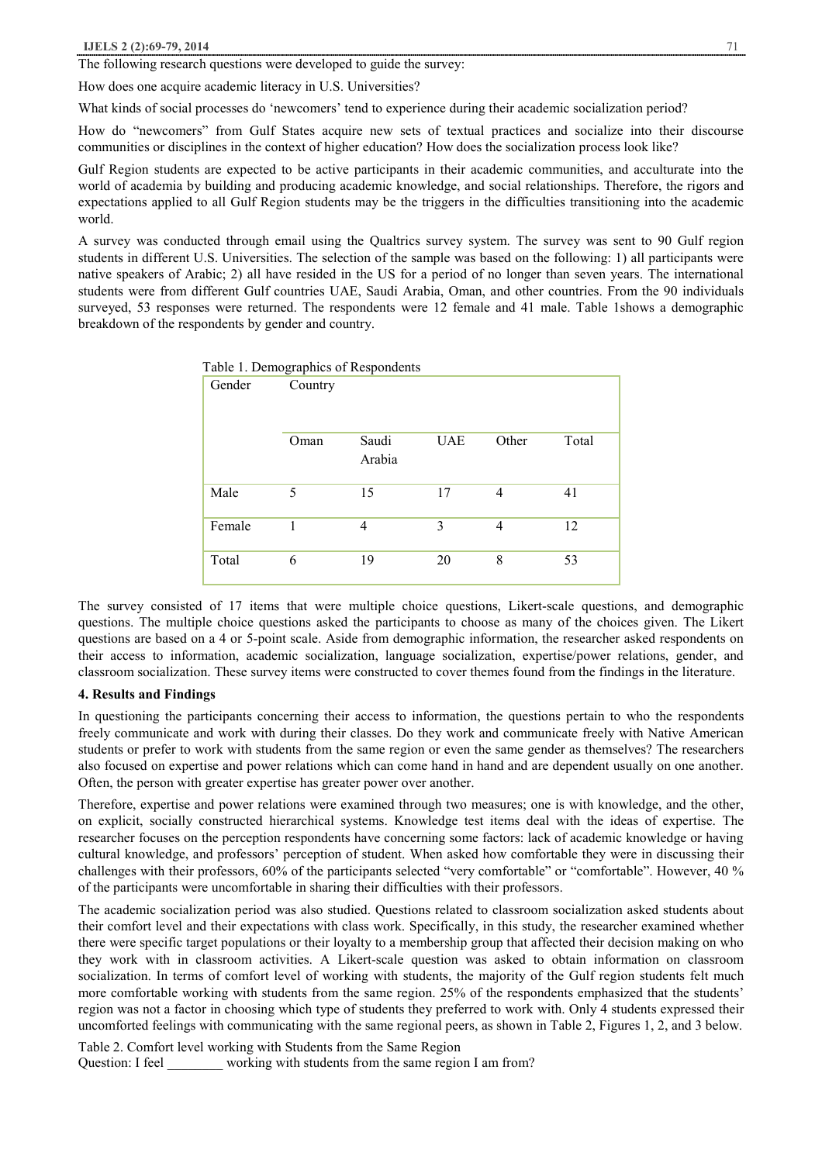The following research questions were developed to guide the survey:

How does one acquire academic literacy in U.S. Universities?

What kinds of social processes do 'newcomers' tend to experience during their academic socialization period?

How do "newcomers" from Gulf States acquire new sets of textual practices and socialize into their discourse communities or disciplines in the context of higher education? How does the socialization process look like?

Gulf Region students are expected to be active participants in their academic communities, and acculturate into the world of academia by building and producing academic knowledge, and social relationships. Therefore, the rigors and expectations applied to all Gulf Region students may be the triggers in the difficulties transitioning into the academic world.

A survey was conducted through email using the Qualtrics survey system. The survey was sent to 90 Gulf region students in different U.S. Universities. The selection of the sample was based on the following: 1) all participants were native speakers of Arabic; 2) all have resided in the US for a period of no longer than seven years. The international students were from different Gulf countries UAE, Saudi Arabia, Oman, and other countries. From the 90 individuals surveyed, 53 responses were returned. The respondents were 12 female and 41 male. Table 1shows a demographic breakdown of the respondents by gender and country.

| Table 1. Demographics of Respondents |         |                 |            |                |       |
|--------------------------------------|---------|-----------------|------------|----------------|-------|
| Gender                               | Country |                 |            |                |       |
|                                      | Oman    | Saudi<br>Arabia | <b>UAE</b> | Other          | Total |
| Male                                 | 5       | 15              | 17         | $\overline{4}$ | 41    |
| Female                               | 1       | 4               | 3          | $\overline{4}$ | 12    |
| Total                                | 6       | 19              | 20         | 8              | 53    |

The survey consisted of 17 items that were multiple choice questions, Likert-scale questions, and demographic questions. The multiple choice questions asked the participants to choose as many of the choices given. The Likert questions are based on a 4 or 5-point scale. Aside from demographic information, the researcher asked respondents on their access to information, academic socialization, language socialization, expertise/power relations, gender, and classroom socialization. These survey items were constructed to cover themes found from the findings in the literature.

#### **4. Results and Findings**

In questioning the participants concerning their access to information, the questions pertain to who the respondents freely communicate and work with during their classes. Do they work and communicate freely with Native American students or prefer to work with students from the same region or even the same gender as themselves? The researchers also focused on expertise and power relations which can come hand in hand and are dependent usually on one another. Often, the person with greater expertise has greater power over another.

Therefore, expertise and power relations were examined through two measures; one is with knowledge, and the other, on explicit, socially constructed hierarchical systems. Knowledge test items deal with the ideas of expertise. The researcher focuses on the perception respondents have concerning some factors: lack of academic knowledge or having cultural knowledge, and professors' perception of student. When asked how comfortable they were in discussing their challenges with their professors, 60% of the participants selected "very comfortable" or "comfortable". However, 40 % of the participants were uncomfortable in sharing their difficulties with their professors.

The academic socialization period was also studied. Questions related to classroom socialization asked students about their comfort level and their expectations with class work. Specifically, in this study, the researcher examined whether there were specific target populations or their loyalty to a membership group that affected their decision making on who they work with in classroom activities. A Likert-scale question was asked to obtain information on classroom socialization. In terms of comfort level of working with students, the majority of the Gulf region students felt much more comfortable working with students from the same region. 25% of the respondents emphasized that the students' region was not a factor in choosing which type of students they preferred to work with. Only 4 students expressed their uncomforted feelings with communicating with the same regional peers, as shown in Table 2, Figures 1, 2, and 3 below.

Table 2. Comfort level working with Students from the Same Region Question: I feel \_\_\_\_\_\_\_ working with students from the same region I am from?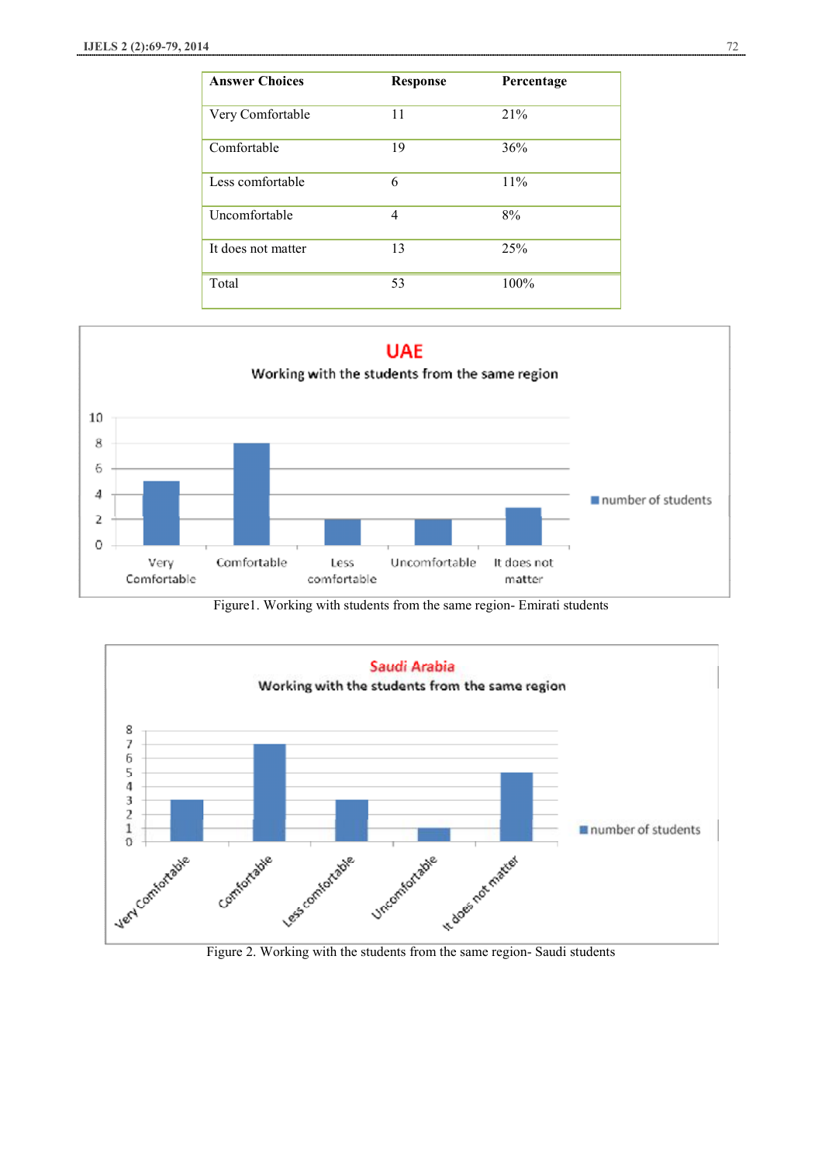| <b>Answer Choices</b> | <b>Response</b> | Percentage |
|-----------------------|-----------------|------------|
| Very Comfortable      | 11              | 21%        |
| Comfortable           | 19              | 36%        |
| Less comfortable      | 6               | 11%        |
| Uncomfortable         | 4               | 8%         |
| It does not matter    | 13              | 25%        |
| Total                 | 53              | 100%       |



Figure1. Working with students from the same region- Emirati students



Figure 2. Working with the students from the same region- Saudi students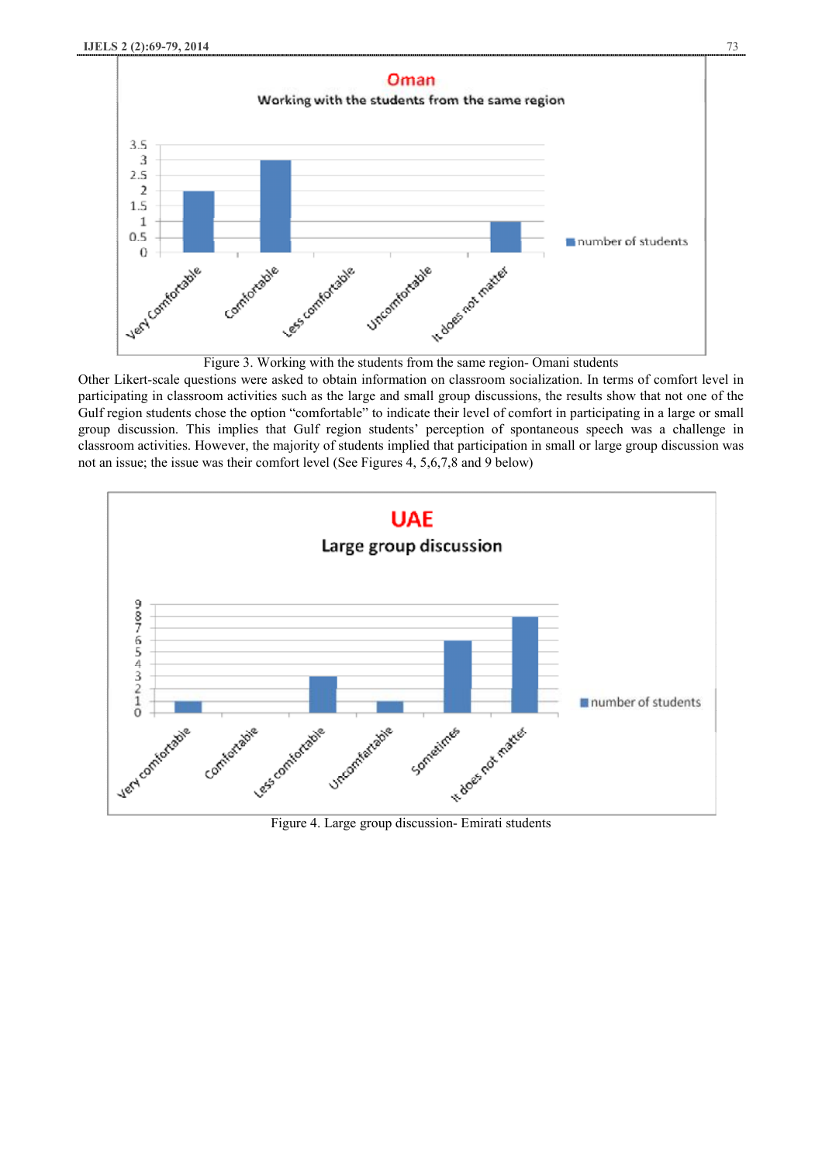

Figure 3. Working with the students from the same region- Omani students

Other Likert-scale questions were asked to obtain information on classroom socialization. In terms of comfort level in participating in classroom activities such as the large and small group discussions, the results show that not one of the Gulf region students chose the option "comfortable" to indicate their level of comfort in participating in a large or small group discussion. This implies that Gulf region students' perception of spontaneous speech was a challenge in classroom activities. However, the majority of students implied that participation in small or large group discussion was not an issue; the issue was their comfort level (See Figures 4, 5,6,7,8 and 9 below)

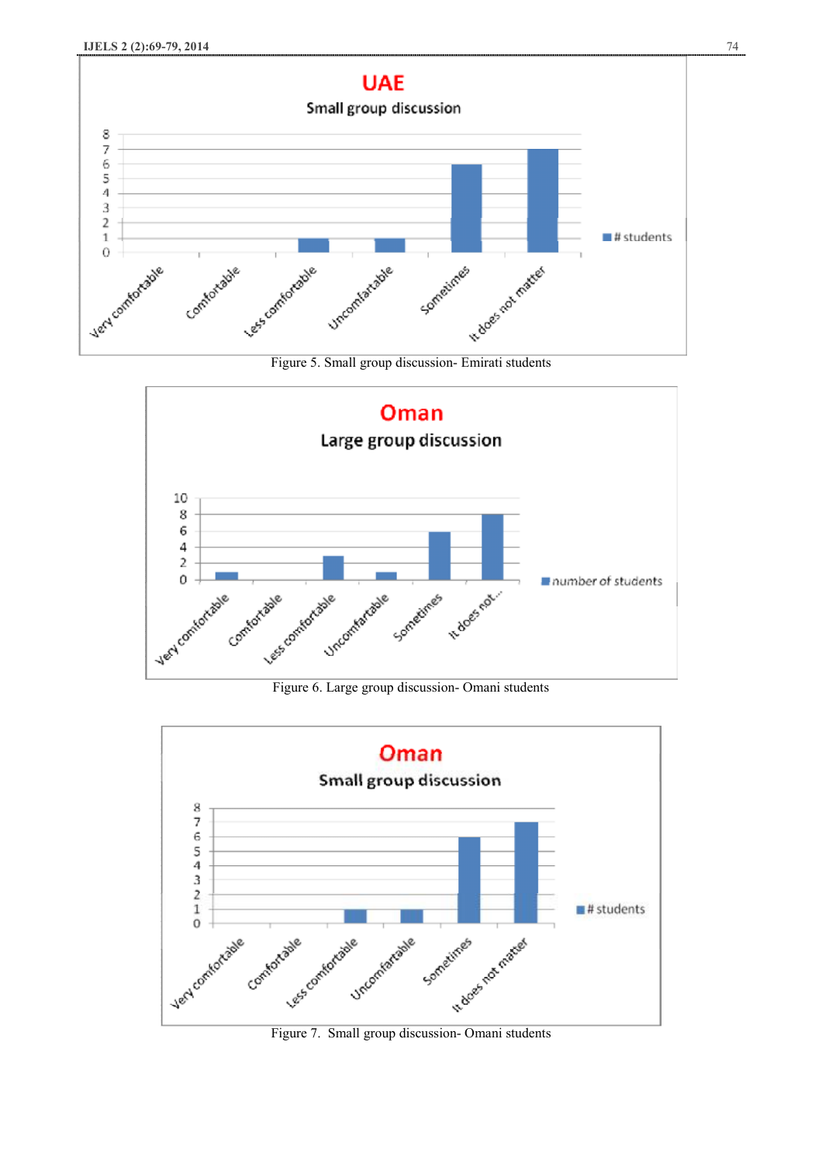





Figure 6. Large group discussion- Omani students



Figure 7. Small group discussion- Omani students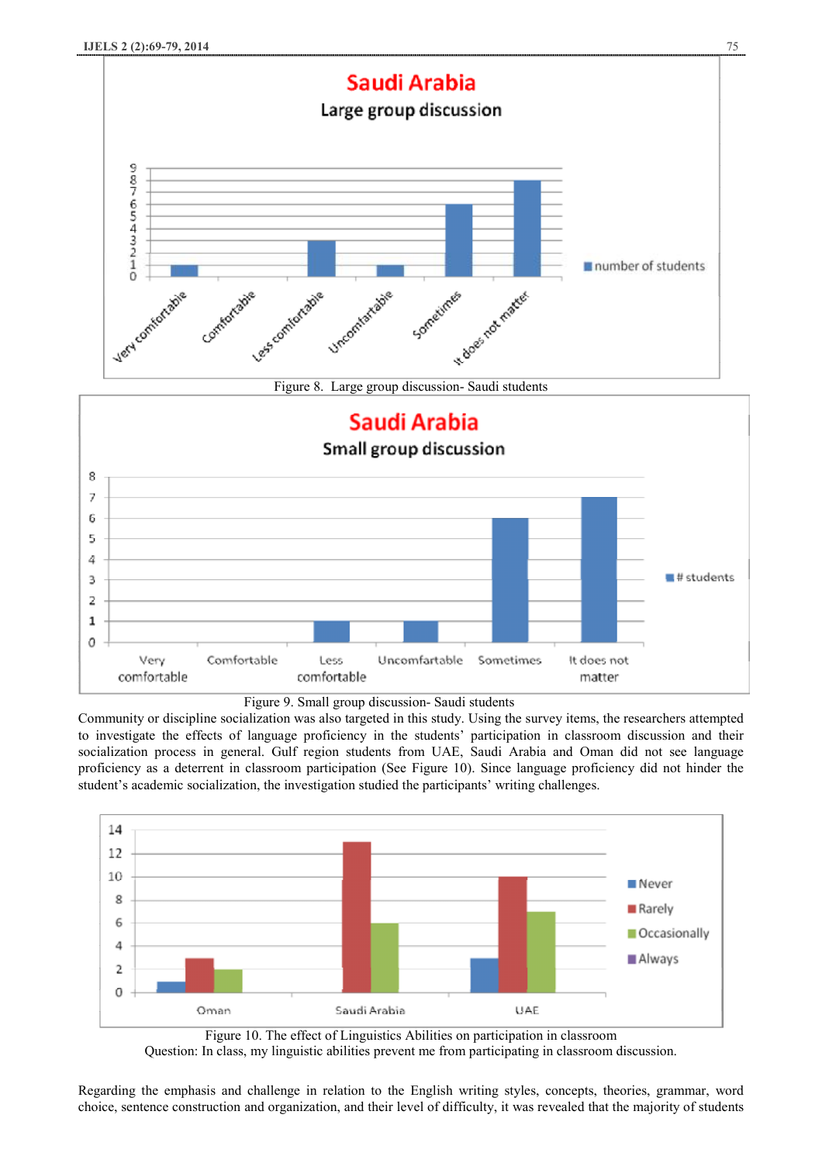

Figure 8. Large group discussion- Saudi students





Community or discipline socialization was also targeted in this study. Using the survey items, the researchers attempted to investigate the effects of language proficiency in the students' participation in classroom discussion and their socialization process in general. Gulf region students from UAE, Saudi Arabia and Oman did not see language proficiency as a deterrent in classroom participation (See Figure 10). Since language proficiency did not hinder the student's academic socialization, the investigation studied the participants' writing challenges.



Figure 10. The effect of Linguistics Abilities on participation in classroom Question: In class, my linguistic abilities prevent me from participating in classroom discussion.

Regarding the emphasis and challenge in relation to the English writing styles, concepts, theories, grammar, word choice, sentence construction and organization, and their level of difficulty, it was revealed that the majority of students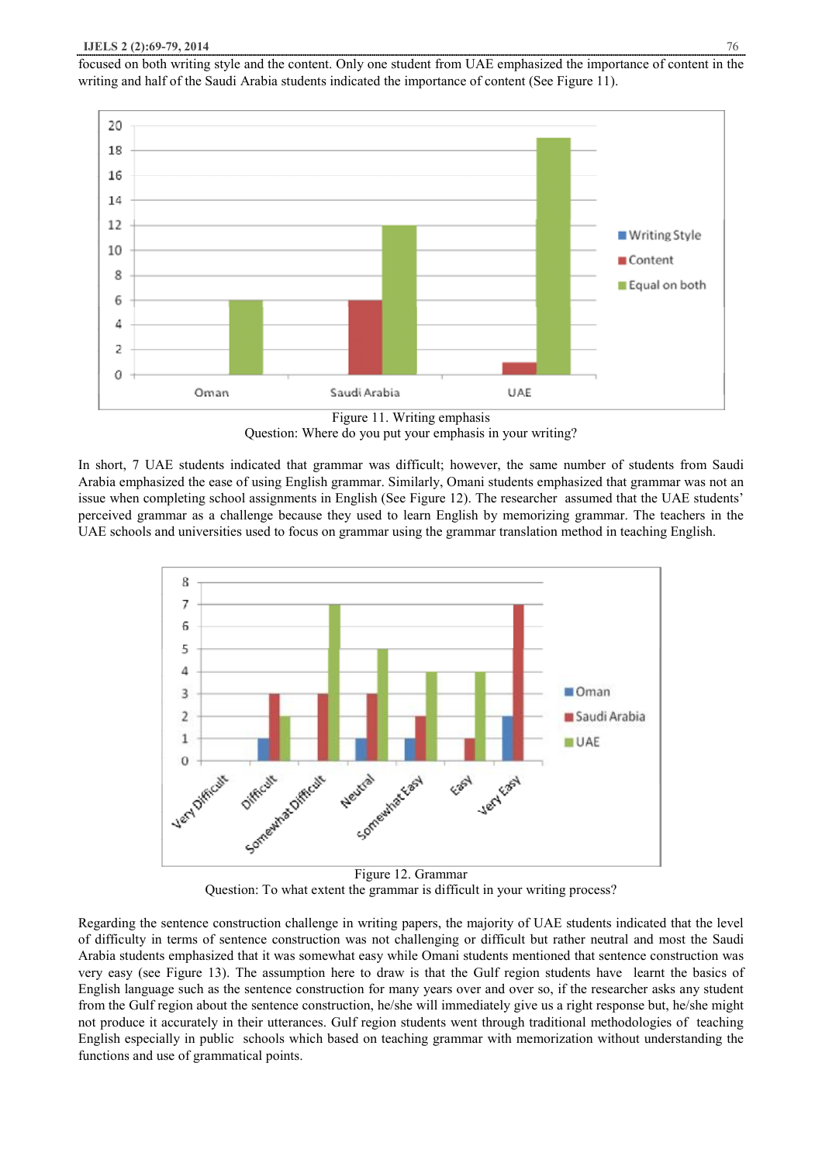focused on both writing style and the content. Only one student from UAE emphasized the importance of content in the writing and half of the Saudi Arabia students indicated the importance of content (See Figure 11).



Figure 11. Writing emphasis Question: Where do you put your emphasis in your writing?

In short, 7 UAE students indicated that grammar was difficult; however, the same number of students from Saudi Arabia emphasized the ease of using English grammar. Similarly, Omani students emphasized that grammar was not an issue when completing school assignments in English (See Figure 12). The researcher assumed that the UAE students' perceived grammar as a challenge because they used to learn English by memorizing grammar. The teachers in the UAE schools and universities used to focus on grammar using the grammar translation method in teaching English.



Figure 12. Grammar Question: To what extent the grammar is difficult in your writing process?

Regarding the sentence construction challenge in writing papers, the majority of UAE students indicated that the level of difficulty in terms of sentence construction was not challenging or difficult but rather neutral and most the Saudi Arabia students emphasized that it was somewhat easy while Omani students mentioned that sentence construction was very easy (see Figure 13). The assumption here to draw is that the Gulf region students have learnt the basics of English language such as the sentence construction for many years over and over so, if the researcher asks any student from the Gulf region about the sentence construction, he/she will immediately give us a right response but, he/she might not produce it accurately in their utterances. Gulf region students went through traditional methodologies of teaching English especially in public schools which based on teaching grammar with memorization without understanding the functions and use of grammatical points.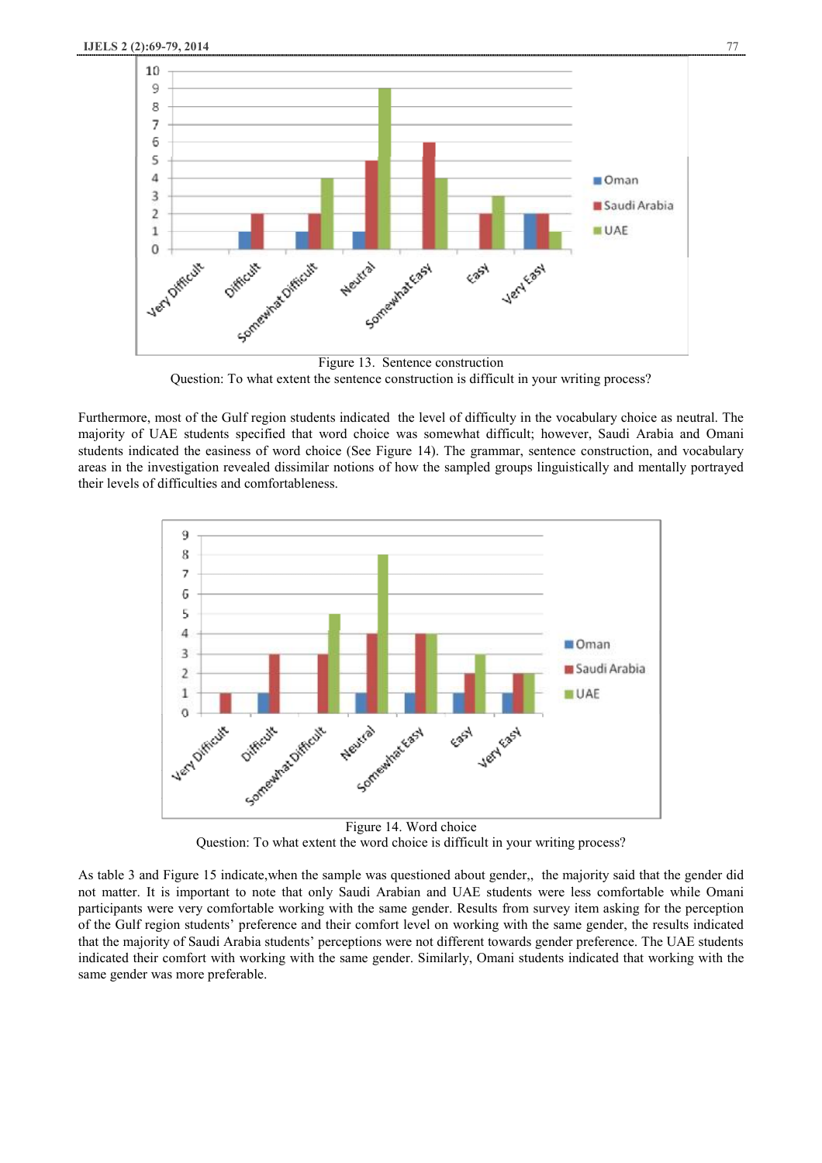

Question: To what extent the sentence construction is difficult in your writing process?

Furthermore, most of the Gulf region students indicated the level of difficulty in the vocabulary choice as neutral. The majority of UAE students specified that word choice was somewhat difficult; however, Saudi Arabia and Omani students indicated the easiness of word choice (See Figure 14). The grammar, sentence construction, and vocabulary areas in the investigation revealed dissimilar notions of how the sampled groups linguistically and mentally portrayed their levels of difficulties and comfortableness.



Question: To what extent the word choice is difficult in your writing process?

As table 3 and Figure 15 indicate,when the sample was questioned about gender,, the majority said that the gender did not matter. It is important to note that only Saudi Arabian and UAE students were less comfortable while Omani participants were very comfortable working with the same gender. Results from survey item asking for the perception of the Gulf region students' preference and their comfort level on working with the same gender, the results indicated that the majority of Saudi Arabia students' perceptions were not different towards gender preference. The UAE students indicated their comfort with working with the same gender. Similarly, Omani students indicated that working with the same gender was more preferable.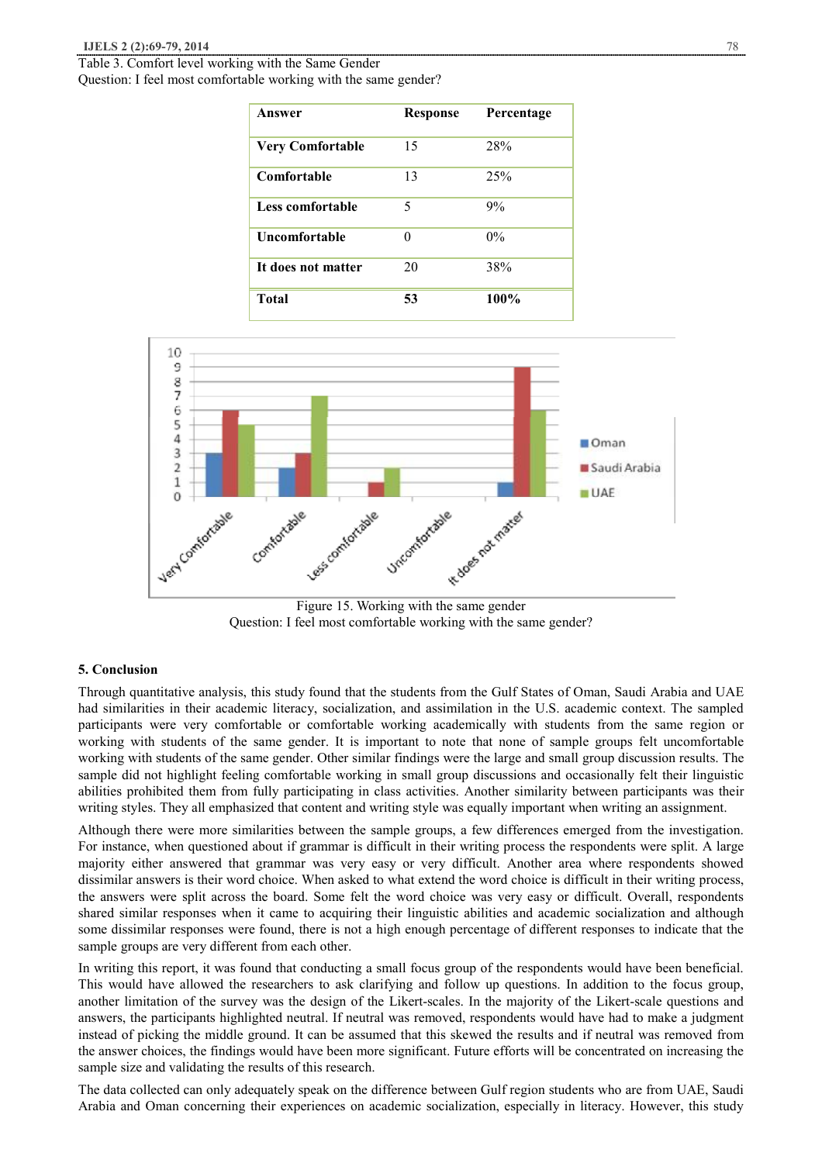Table 3. Comfort level working with the Same Gender Question: I feel most comfortable working with the same gender?

| Answer                  | <b>Response</b> | Percentage |
|-------------------------|-----------------|------------|
| <b>Very Comfortable</b> | 15              | 28%        |
| Comfortable             | 13              | 25%        |
| Less comfortable        | 5               | 9%         |
| <b>Uncomfortable</b>    | ∩               | $0\%$      |
| It does not matter      | 20              | 38%        |
| <b>Total</b>            | 53              | 100%       |





#### **5. Conclusion**

Through quantitative analysis, this study found that the students from the Gulf States of Oman, Saudi Arabia and UAE had similarities in their academic literacy, socialization, and assimilation in the U.S. academic context. The sampled participants were very comfortable or comfortable working academically with students from the same region or working with students of the same gender. It is important to note that none of sample groups felt uncomfortable working with students of the same gender. Other similar findings were the large and small group discussion results. The sample did not highlight feeling comfortable working in small group discussions and occasionally felt their linguistic abilities prohibited them from fully participating in class activities. Another similarity between participants was their writing styles. They all emphasized that content and writing style was equally important when writing an assignment.

Although there were more similarities between the sample groups, a few differences emerged from the investigation. For instance, when questioned about if grammar is difficult in their writing process the respondents were split. A large majority either answered that grammar was very easy or very difficult. Another area where respondents showed dissimilar answers is their word choice. When asked to what extend the word choice is difficult in their writing process, the answers were split across the board. Some felt the word choice was very easy or difficult. Overall, respondents shared similar responses when it came to acquiring their linguistic abilities and academic socialization and although some dissimilar responses were found, there is not a high enough percentage of different responses to indicate that the sample groups are very different from each other.

In writing this report, it was found that conducting a small focus group of the respondents would have been beneficial. This would have allowed the researchers to ask clarifying and follow up questions. In addition to the focus group, another limitation of the survey was the design of the Likert-scales. In the majority of the Likert-scale questions and answers, the participants highlighted neutral. If neutral was removed, respondents would have had to make a judgment instead of picking the middle ground. It can be assumed that this skewed the results and if neutral was removed from the answer choices, the findings would have been more significant. Future efforts will be concentrated on increasing the sample size and validating the results of this research.

The data collected can only adequately speak on the difference between Gulf region students who are from UAE, Saudi Arabia and Oman concerning their experiences on academic socialization, especially in literacy. However, this study